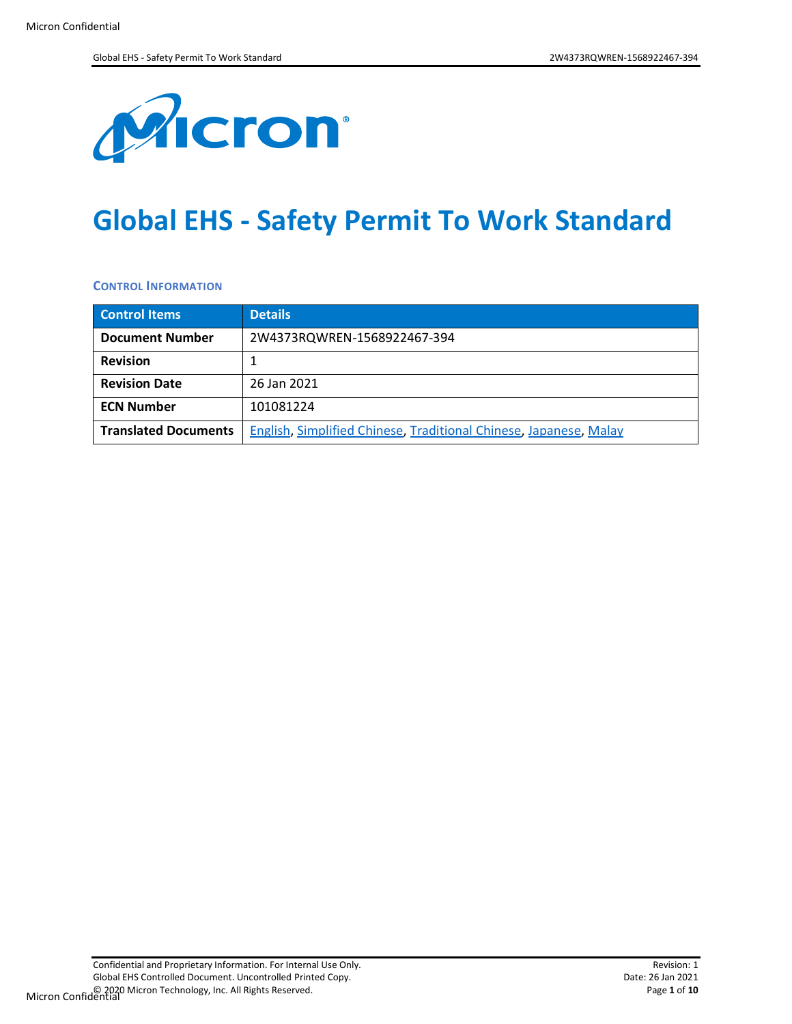

# **Global EHS - Safety Permit To Work Standard**

**CONTROL INFORMATION**

| <b>Control Items</b>        | <b>Details</b>                                                    |
|-----------------------------|-------------------------------------------------------------------|
| <b>Document Number</b>      | 2W4373RQWREN-1568922467-394                                       |
| <b>Revision</b>             |                                                                   |
| <b>Revision Date</b>        | 26 Jan 2021                                                       |
| <b>ECN Number</b>           | 101081224                                                         |
| <b>Translated Documents</b> | English, Simplified Chinese, Traditional Chinese, Japanese, Malay |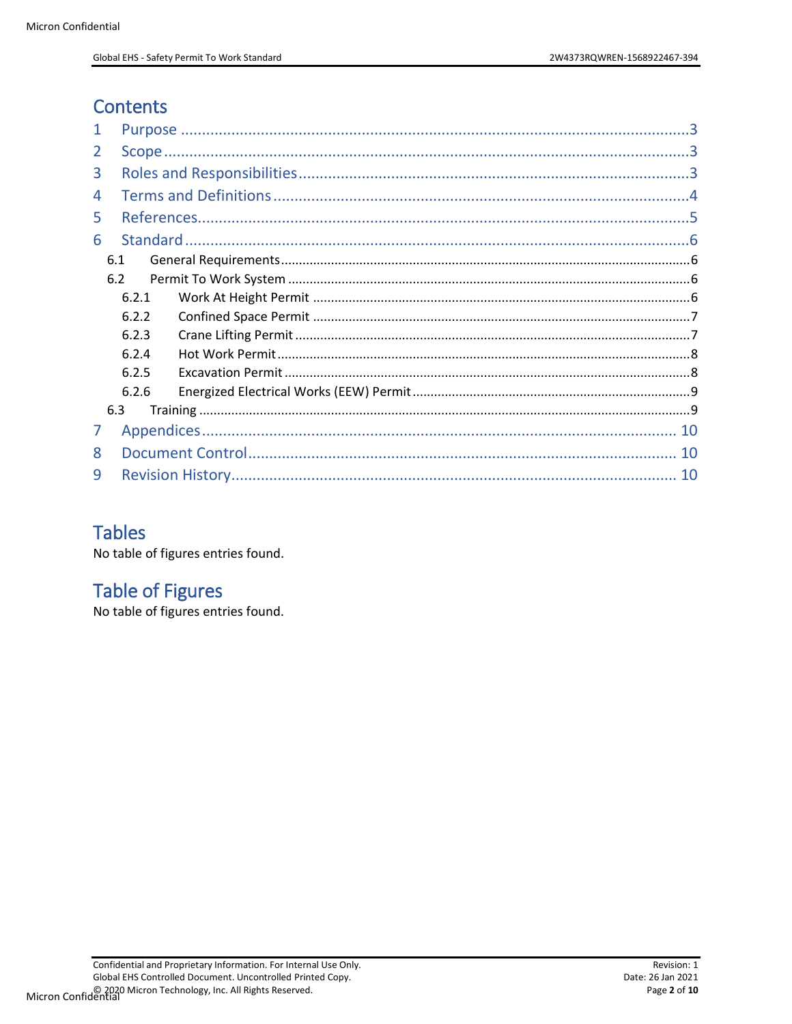# **Contents**

| 2 |       |  |  |
|---|-------|--|--|
| 3 |       |  |  |
| 4 |       |  |  |
| 5 |       |  |  |
| 6 |       |  |  |
|   | 6.1   |  |  |
|   | 6.2   |  |  |
|   | 6.2.1 |  |  |
|   | 6.2.2 |  |  |
|   | 6.2.3 |  |  |
|   | 6.2.4 |  |  |
|   | 6.2.5 |  |  |
|   | 6.2.6 |  |  |
|   | 6.3   |  |  |
| 7 |       |  |  |
| 8 |       |  |  |
| 9 |       |  |  |

## **Tables**

No table of figures entries found.

# **Table of Figures**

No table of figures entries found.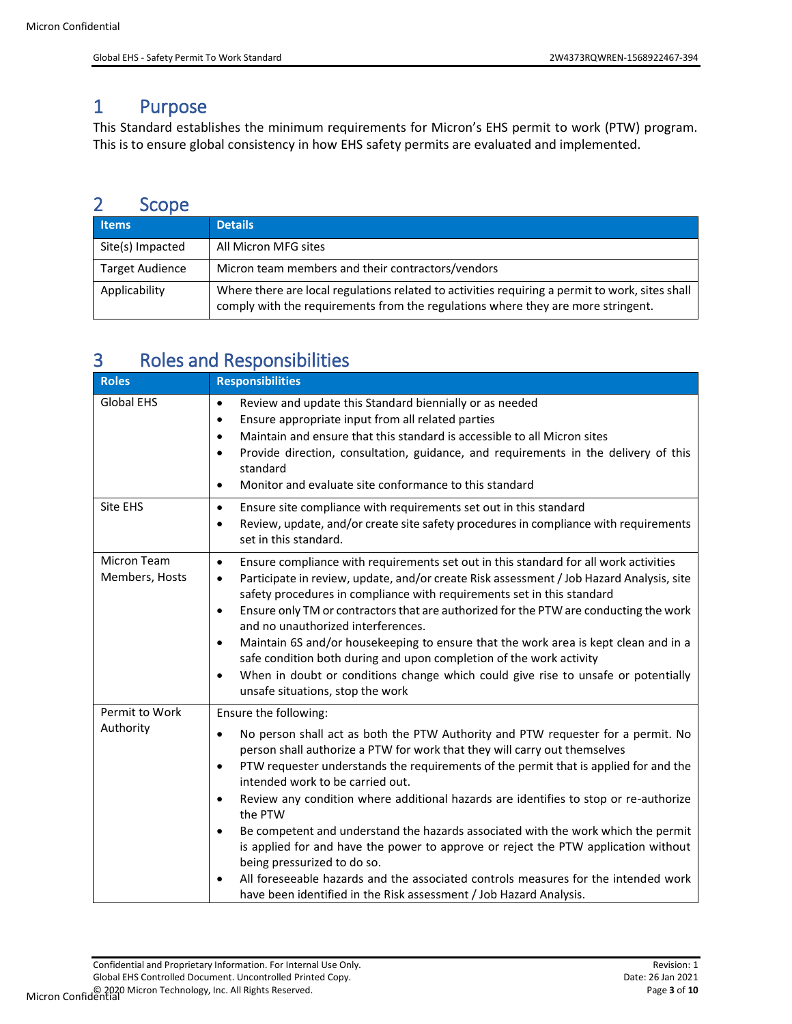### <span id="page-2-0"></span>1 Purpose

This Standard establishes the minimum requirements for Micron's EHS permit to work (PTW) program. This is to ensure global consistency in how EHS safety permits are evaluated and implemented.

### <span id="page-2-1"></span>2 Scope

| <b>Items</b>           | <b>Details</b>                                                                                                                                                                      |
|------------------------|-------------------------------------------------------------------------------------------------------------------------------------------------------------------------------------|
| Site(s) Impacted       | All Micron MFG sites                                                                                                                                                                |
| <b>Target Audience</b> | Micron team members and their contractors/vendors                                                                                                                                   |
| Applicability          | Where there are local regulations related to activities requiring a permit to work, sites shall<br>comply with the requirements from the regulations where they are more stringent. |

## <span id="page-2-2"></span>3 Roles and Responsibilities

| <b>Roles</b>                  | <b>Responsibilities</b>                                                                                                                                                                                                                                                                                                                                                                                                                                                                                                                                                                                                                                                                                                                                                                                                |
|-------------------------------|------------------------------------------------------------------------------------------------------------------------------------------------------------------------------------------------------------------------------------------------------------------------------------------------------------------------------------------------------------------------------------------------------------------------------------------------------------------------------------------------------------------------------------------------------------------------------------------------------------------------------------------------------------------------------------------------------------------------------------------------------------------------------------------------------------------------|
| <b>Global EHS</b>             | Review and update this Standard biennially or as needed<br>$\bullet$<br>Ensure appropriate input from all related parties<br>$\bullet$<br>Maintain and ensure that this standard is accessible to all Micron sites<br>$\bullet$<br>Provide direction, consultation, guidance, and requirements in the delivery of this<br>$\bullet$<br>standard<br>Monitor and evaluate site conformance to this standard<br>$\bullet$                                                                                                                                                                                                                                                                                                                                                                                                 |
| Site EHS                      | Ensure site compliance with requirements set out in this standard<br>$\bullet$<br>Review, update, and/or create site safety procedures in compliance with requirements<br>$\bullet$<br>set in this standard.                                                                                                                                                                                                                                                                                                                                                                                                                                                                                                                                                                                                           |
| Micron Team<br>Members, Hosts | Ensure compliance with requirements set out in this standard for all work activities<br>$\bullet$<br>Participate in review, update, and/or create Risk assessment / Job Hazard Analysis, site<br>$\bullet$<br>safety procedures in compliance with requirements set in this standard<br>Ensure only TM or contractors that are authorized for the PTW are conducting the work<br>$\bullet$<br>and no unauthorized interferences.<br>Maintain 6S and/or housekeeping to ensure that the work area is kept clean and in a<br>$\bullet$<br>safe condition both during and upon completion of the work activity<br>When in doubt or conditions change which could give rise to unsafe or potentially<br>$\bullet$<br>unsafe situations, stop the work                                                                      |
| Permit to Work                | Ensure the following:                                                                                                                                                                                                                                                                                                                                                                                                                                                                                                                                                                                                                                                                                                                                                                                                  |
| Authority                     | No person shall act as both the PTW Authority and PTW requester for a permit. No<br>$\bullet$<br>person shall authorize a PTW for work that they will carry out themselves<br>PTW requester understands the requirements of the permit that is applied for and the<br>$\bullet$<br>intended work to be carried out.<br>Review any condition where additional hazards are identifies to stop or re-authorize<br>$\bullet$<br>the PTW<br>Be competent and understand the hazards associated with the work which the permit<br>is applied for and have the power to approve or reject the PTW application without<br>being pressurized to do so.<br>All foreseeable hazards and the associated controls measures for the intended work<br>$\bullet$<br>have been identified in the Risk assessment / Job Hazard Analysis. |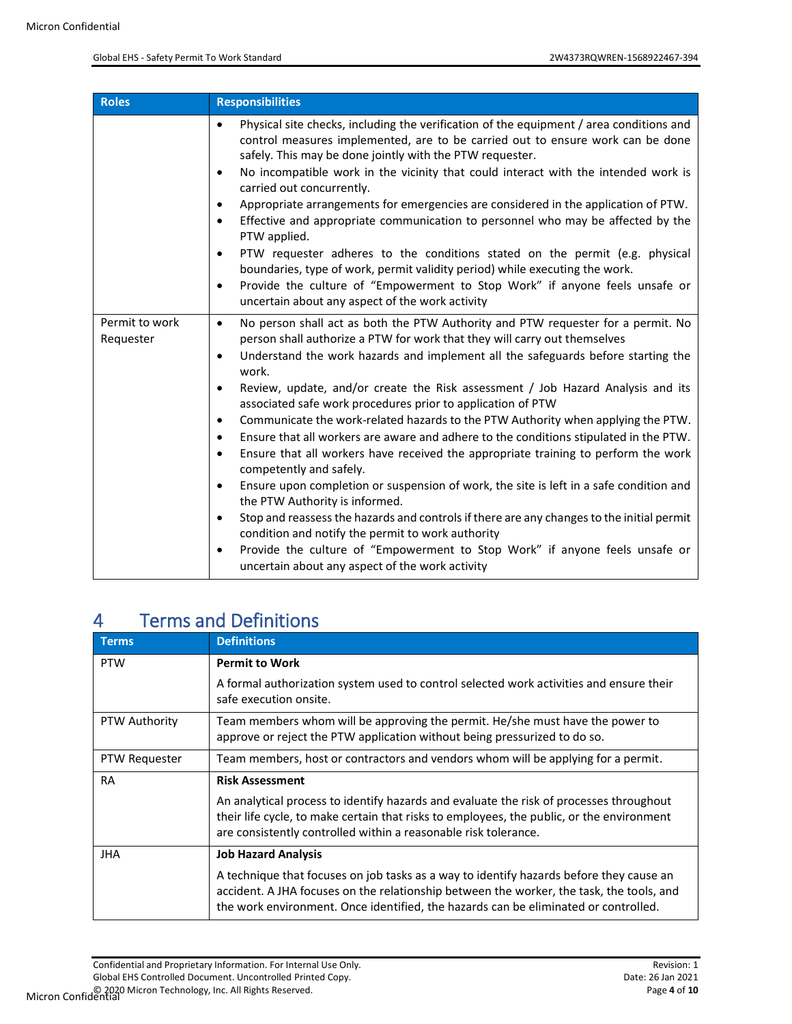| <b>Roles</b>                | <b>Responsibilities</b>                                                                                                                                                                                                                                                                                                                                                                                                                                                                                                                                                                                                                                                                                                                                                                                                                                                                                                                                                                                                                                                                                                                                                                                                                         |
|-----------------------------|-------------------------------------------------------------------------------------------------------------------------------------------------------------------------------------------------------------------------------------------------------------------------------------------------------------------------------------------------------------------------------------------------------------------------------------------------------------------------------------------------------------------------------------------------------------------------------------------------------------------------------------------------------------------------------------------------------------------------------------------------------------------------------------------------------------------------------------------------------------------------------------------------------------------------------------------------------------------------------------------------------------------------------------------------------------------------------------------------------------------------------------------------------------------------------------------------------------------------------------------------|
|                             | Physical site checks, including the verification of the equipment / area conditions and<br>$\bullet$<br>control measures implemented, are to be carried out to ensure work can be done<br>safely. This may be done jointly with the PTW requester.<br>No incompatible work in the vicinity that could interact with the intended work is<br>$\bullet$<br>carried out concurrently.<br>Appropriate arrangements for emergencies are considered in the application of PTW.<br>$\bullet$<br>Effective and appropriate communication to personnel who may be affected by the<br>$\bullet$<br>PTW applied.<br>PTW requester adheres to the conditions stated on the permit (e.g. physical<br>$\bullet$<br>boundaries, type of work, permit validity period) while executing the work.<br>Provide the culture of "Empowerment to Stop Work" if anyone feels unsafe or<br>$\bullet$<br>uncertain about any aspect of the work activity                                                                                                                                                                                                                                                                                                                 |
| Permit to work<br>Requester | No person shall act as both the PTW Authority and PTW requester for a permit. No<br>$\bullet$<br>person shall authorize a PTW for work that they will carry out themselves<br>Understand the work hazards and implement all the safeguards before starting the<br>$\bullet$<br>work.<br>Review, update, and/or create the Risk assessment / Job Hazard Analysis and its<br>$\bullet$<br>associated safe work procedures prior to application of PTW<br>Communicate the work-related hazards to the PTW Authority when applying the PTW.<br>$\bullet$<br>Ensure that all workers are aware and adhere to the conditions stipulated in the PTW.<br>$\bullet$<br>Ensure that all workers have received the appropriate training to perform the work<br>$\bullet$<br>competently and safely.<br>Ensure upon completion or suspension of work, the site is left in a safe condition and<br>$\bullet$<br>the PTW Authority is informed.<br>Stop and reassess the hazards and controls if there are any changes to the initial permit<br>$\bullet$<br>condition and notify the permit to work authority<br>Provide the culture of "Empowerment to Stop Work" if anyone feels unsafe or<br>$\bullet$<br>uncertain about any aspect of the work activity |

# <span id="page-3-0"></span>4 Terms and Definitions

| <b>Terms</b>  | <b>Definitions</b>                                                                                                                                                                                                                                                         |
|---------------|----------------------------------------------------------------------------------------------------------------------------------------------------------------------------------------------------------------------------------------------------------------------------|
| <b>PTW</b>    | <b>Permit to Work</b>                                                                                                                                                                                                                                                      |
|               | A formal authorization system used to control selected work activities and ensure their<br>safe execution onsite.                                                                                                                                                          |
| PTW Authority | Team members whom will be approving the permit. He/she must have the power to<br>approve or reject the PTW application without being pressurized to do so.                                                                                                                 |
| PTW Requester | Team members, host or contractors and vendors whom will be applying for a permit.                                                                                                                                                                                          |
| <b>RA</b>     | <b>Risk Assessment</b>                                                                                                                                                                                                                                                     |
|               | An analytical process to identify hazards and evaluate the risk of processes throughout<br>their life cycle, to make certain that risks to employees, the public, or the environment<br>are consistently controlled within a reasonable risk tolerance.                    |
| <b>JHA</b>    | <b>Job Hazard Analysis</b>                                                                                                                                                                                                                                                 |
|               | A technique that focuses on job tasks as a way to identify hazards before they cause an<br>accident. A JHA focuses on the relationship between the worker, the task, the tools, and<br>the work environment. Once identified, the hazards can be eliminated or controlled. |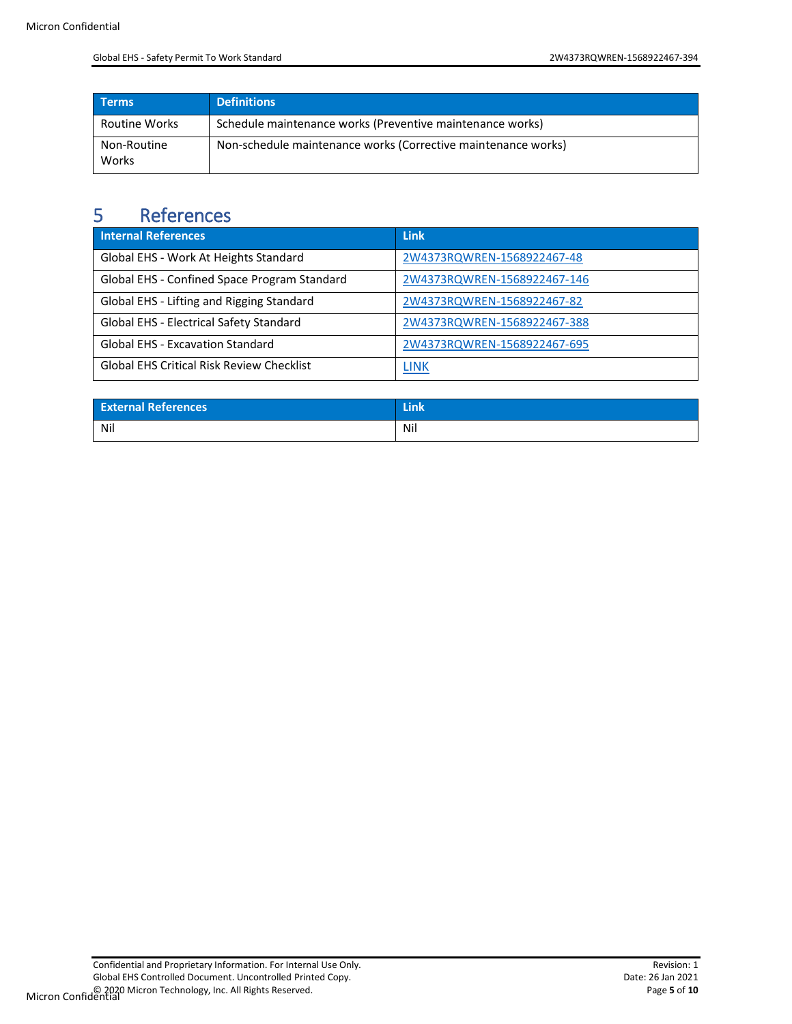| <b>Terms</b>         | <b>Definitions</b>                                            |
|----------------------|---------------------------------------------------------------|
| Routine Works        | Schedule maintenance works (Preventive maintenance works)     |
| Non-Routine<br>Works | Non-schedule maintenance works (Corrective maintenance works) |

### <span id="page-4-0"></span>5 References

| Internal References                              | Link                        |
|--------------------------------------------------|-----------------------------|
| Global EHS - Work At Heights Standard            | 2W4373RQWREN-1568922467-48  |
| Global EHS - Confined Space Program Standard     | 2W4373RQWREN-1568922467-146 |
| Global EHS - Lifting and Rigging Standard        | 2W4373RQWREN-1568922467-82  |
| Global EHS - Electrical Safety Standard          | 2W4373RQWREN-1568922467-388 |
| <b>Global EHS - Excavation Standard</b>          | 2W4373RQWREN-1568922467-695 |
| <b>Global EHS Critical Risk Review Checklist</b> | link                        |

| <b>External References</b> | <b>Link</b> |
|----------------------------|-------------|
| Nil                        | Nil<br>.    |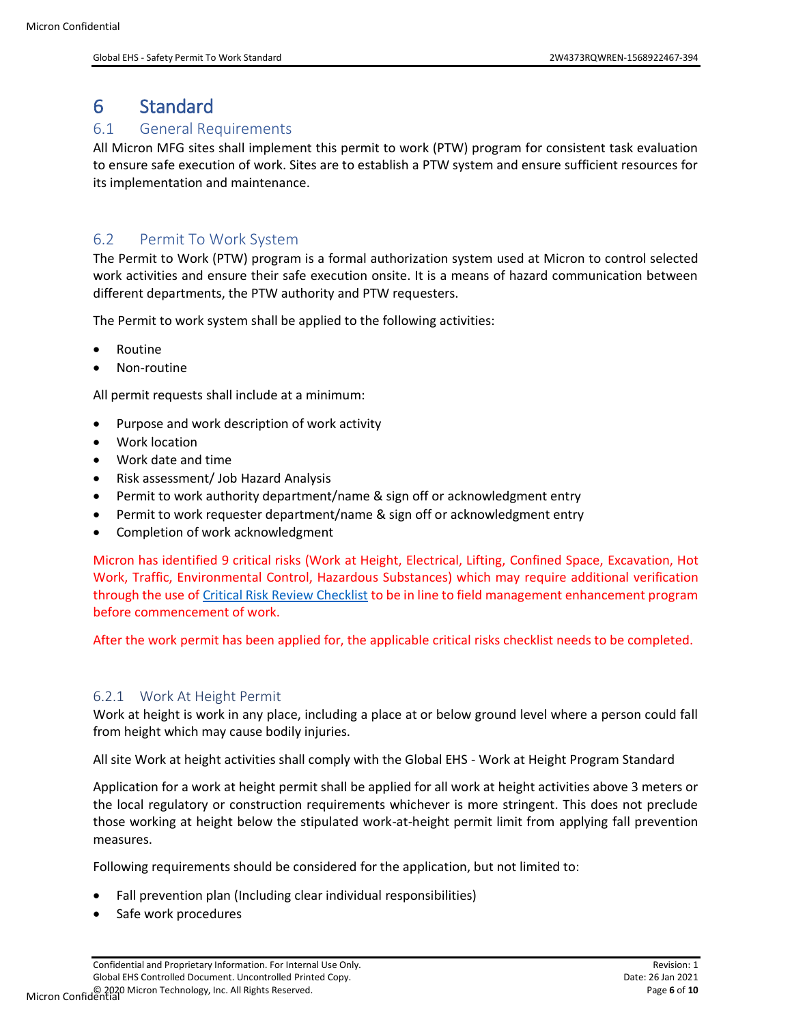### <span id="page-5-0"></span>6 Standard

#### <span id="page-5-1"></span>6.1 General Requirements

All Micron MFG sites shall implement this permit to work (PTW) program for consistent task evaluation to ensure safe execution of work. Sites are to establish a PTW system and ensure sufficient resources for its implementation and maintenance.

#### <span id="page-5-2"></span>6.2 Permit To Work System

The Permit to Work (PTW) program is a formal authorization system used at Micron to control selected work activities and ensure their safe execution onsite. It is a means of hazard communication between different departments, the PTW authority and PTW requesters.

The Permit to work system shall be applied to the following activities:

- Routine
- Non-routine

All permit requests shall include at a minimum:

- Purpose and work description of work activity
- Work location
- Work date and time
- Risk assessment/ Job Hazard Analysis
- Permit to work authority department/name & sign off or acknowledgment entry
- Permit to work requester department/name & sign off or acknowledgment entry
- Completion of work acknowledgment

Micron has identified 9 critical risks (Work at Height, Electrical, Lifting, Confined Space, Excavation, Hot Work, Traffic, Environmental Control, Hazardous Substances) which may require additional verification through the use of [Critical Risk](#page-4-0) Review Checklist to be in line to field management enhancement program before commencement of work.

After the work permit has been applied for, the applicable critical risks checklist needs to be completed.

#### <span id="page-5-3"></span>6.2.1 Work At Height Permit

Work at height is work in any place, including a place at or below ground level where a person could fall from height which may cause bodily injuries.

All site Work at height activities shall comply with the Global EHS - Work at Height Program Standard

Application for a work at height permit shall be applied for all work at height activities above 3 meters or the local regulatory or construction requirements whichever is more stringent. This does not preclude those working at height below the stipulated work-at-height permit limit from applying fall prevention measures.

Following requirements should be considered for the application, but not limited to:

- Fall prevention plan (Including clear individual responsibilities)
- Safe work procedures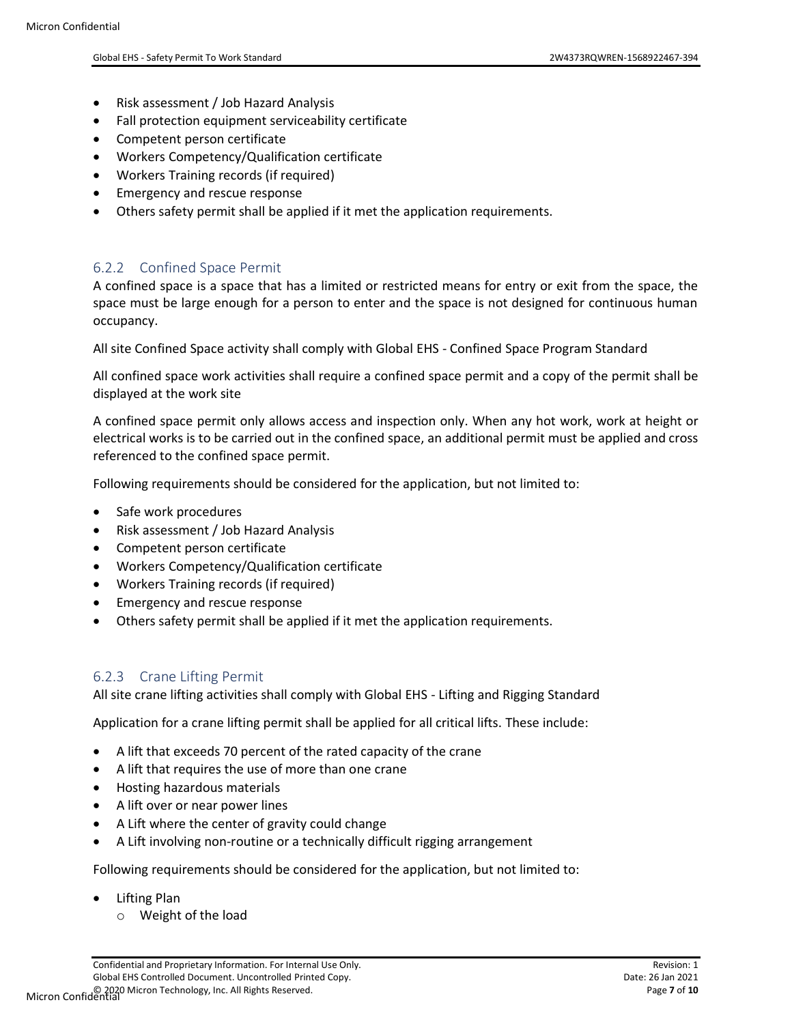- Risk assessment / Job Hazard Analysis
- Fall protection equipment serviceability certificate
- Competent person certificate
- Workers Competency/Qualification certificate
- Workers Training records (if required)
- Emergency and rescue response
- Others safety permit shall be applied if it met the application requirements.

### <span id="page-6-0"></span>6.2.2 Confined Space Permit

A confined space is a space that has a limited or restricted means for entry or exit from the space, the space must be large enough for a person to enter and the space is not designed for continuous human occupancy.

All site Confined Space activity shall comply with Global EHS - Confined Space Program Standard

All confined space work activities shall require a confined space permit and a copy of the permit shall be displayed at the work site

A confined space permit only allows access and inspection only. When any hot work, work at height or electrical works is to be carried out in the confined space, an additional permit must be applied and cross referenced to the confined space permit.

Following requirements should be considered for the application, but not limited to:

- Safe work procedures
- Risk assessment / Job Hazard Analysis
- Competent person certificate
- Workers Competency/Qualification certificate
- Workers Training records (if required)
- Emergency and rescue response
- Others safety permit shall be applied if it met the application requirements.

#### <span id="page-6-1"></span>6.2.3 Crane Lifting Permit

All site crane lifting activities shall comply with Global EHS - Lifting and Rigging Standard

Application for a crane lifting permit shall be applied for all critical lifts. These include:

- A lift that exceeds 70 percent of the rated capacity of the crane
- A lift that requires the use of more than one crane
- Hosting hazardous materials
- A lift over or near power lines
- A Lift where the center of gravity could change
- A Lift involving non-routine or a technically difficult rigging arrangement

Following requirements should be considered for the application, but not limited to:

- Lifting Plan
	- o Weight of the load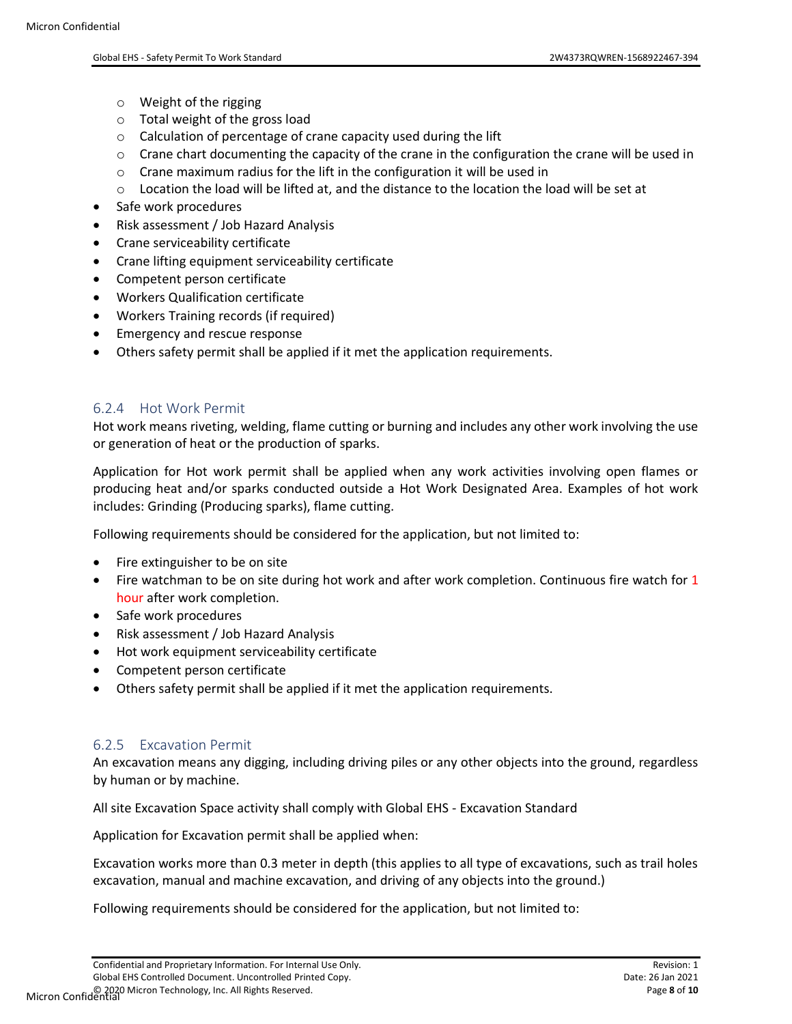- o Weight of the rigging
- o Total weight of the gross load
- o Calculation of percentage of crane capacity used during the lift
- o Crane chart documenting the capacity of the crane in the configuration the crane will be used in
- o Crane maximum radius for the lift in the configuration it will be used in
- $\circ$  Location the load will be lifted at, and the distance to the location the load will be set at
- Safe work procedures
- Risk assessment / Job Hazard Analysis
- Crane serviceability certificate
- Crane lifting equipment serviceability certificate
- Competent person certificate
- Workers Qualification certificate
- Workers Training records (if required)
- Emergency and rescue response
- Others safety permit shall be applied if it met the application requirements.

#### <span id="page-7-0"></span>6.2.4 Hot Work Permit

Hot work means riveting, welding, flame cutting or burning and includes any other work involving the use or generation of heat or the production of sparks.

Application for Hot work permit shall be applied when any work activities involving open flames or producing heat and/or sparks conducted outside a Hot Work Designated Area. Examples of hot work includes: Grinding (Producing sparks), flame cutting.

Following requirements should be considered for the application, but not limited to:

- Fire extinguisher to be on site
- Fire watchman to be on site during hot work and after work completion. Continuous fire watch for 1 hour after work completion.
- Safe work procedures
- Risk assessment / Job Hazard Analysis
- Hot work equipment serviceability certificate
- Competent person certificate
- Others safety permit shall be applied if it met the application requirements.

#### <span id="page-7-1"></span>6.2.5 Excavation Permit

An excavation means any digging, including driving piles or any other objects into the ground, regardless by human or by machine.

All site Excavation Space activity shall comply with Global EHS - Excavation Standard

Application for Excavation permit shall be applied when:

Excavation works more than 0.3 meter in depth (this applies to all type of excavations, such as trail holes excavation, manual and machine excavation, and driving of any objects into the ground.)

Following requirements should be considered for the application, but not limited to: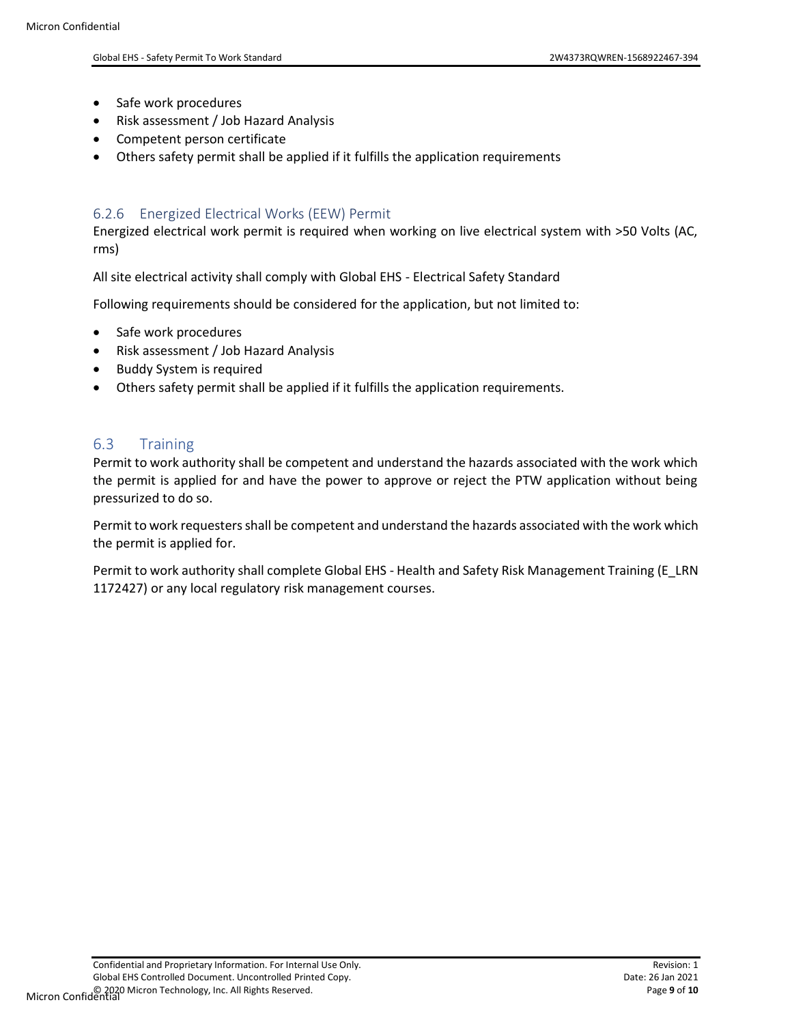- Safe work procedures
- Risk assessment / Job Hazard Analysis
- Competent person certificate
- Others safety permit shall be applied if it fulfills the application requirements

### <span id="page-8-0"></span>6.2.6 Energized Electrical Works (EEW) Permit

Energized electrical work permit is required when working on live electrical system with >50 Volts (AC, rms)

All site electrical activity shall comply with Global EHS - Electrical Safety Standard

Following requirements should be considered for the application, but not limited to:

- Safe work procedures
- Risk assessment / Job Hazard Analysis
- Buddy System is required
- Others safety permit shall be applied if it fulfills the application requirements.

### <span id="page-8-1"></span>6.3 Training

Permit to work authority shall be competent and understand the hazards associated with the work which the permit is applied for and have the power to approve or reject the PTW application without being pressurized to do so.

Permit to work requesters shall be competent and understand the hazards associated with the work which the permit is applied for.

Permit to work authority shall complete Global EHS - Health and Safety Risk Management Training (E\_LRN 1172427) or any local regulatory risk management courses.